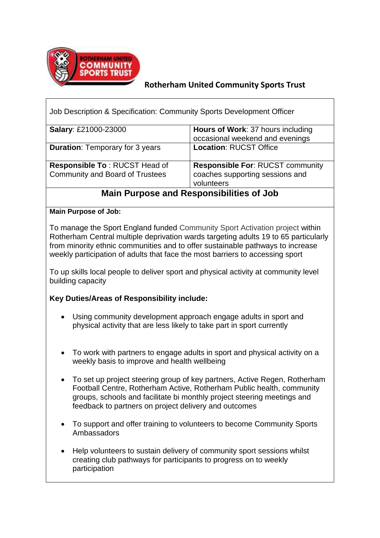

## **Rotherham United Community Sports Trust**

| Job Description & Specification: Community Sports Development Officer   |                                                                                          |  |  |
|-------------------------------------------------------------------------|------------------------------------------------------------------------------------------|--|--|
| <b>Salary: £21000-23000</b>                                             | <b>Hours of Work: 37 hours including</b><br>occasional weekend and evenings              |  |  |
| <b>Duration: Temporary for 3 years</b>                                  | <b>Location: RUCST Office</b>                                                            |  |  |
| Responsible To: RUCST Head of<br><b>Community and Board of Trustees</b> | <b>Responsible For: RUCST community</b><br>coaches supporting sessions and<br>volunteers |  |  |

# **Main Purpose and Responsibilities of Job**

#### **Main Purpose of Job:**

To manage the Sport England funded Community Sport Activation project within Rotherham Central multiple deprivation wards targeting adults 19 to 65 particularly from minority ethnic communities and to offer sustainable pathways to increase weekly participation of adults that face the most barriers to accessing sport

To up skills local people to deliver sport and physical activity at community level building capacity

### **Key Duties/Areas of Responsibility include:**

- Using community development approach engage adults in sport and physical activity that are less likely to take part in sport currently
- To work with partners to engage adults in sport and physical activity on a weekly basis to improve and health wellbeing
- To set up project steering group of key partners, Active Regen, Rotherham Football Centre, Rotherham Active, Rotherham Public health, community groups, schools and facilitate bi monthly project steering meetings and feedback to partners on project delivery and outcomes
- To support and offer training to volunteers to become Community Sports Ambassadors
- Help volunteers to sustain delivery of community sport sessions whilst creating club pathways for participants to progress on to weekly participation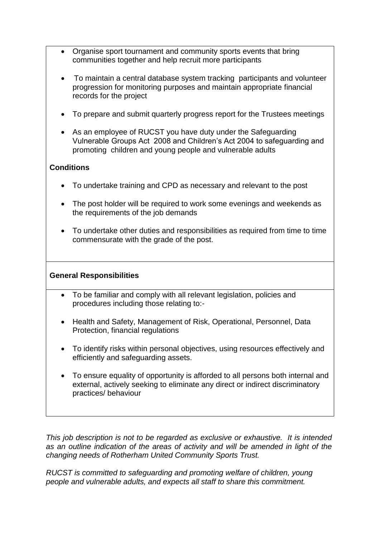- Organise sport tournament and community sports events that bring communities together and help recruit more participants
- To maintain a central database system tracking participants and volunteer progression for monitoring purposes and maintain appropriate financial records for the project
- To prepare and submit quarterly progress report for the Trustees meetings
- As an employee of RUCST you have duty under the Safeguarding Vulnerable Groups Act 2008 and Children's Act 2004 to safeguarding and promoting children and young people and vulnerable adults

## **Conditions**

- To undertake training and CPD as necessary and relevant to the post
- The post holder will be required to work some evenings and weekends as the requirements of the job demands
- To undertake other duties and responsibilities as required from time to time commensurate with the grade of the post.

### **General Responsibilities**

- To be familiar and comply with all relevant legislation, policies and procedures including those relating to:-
- Health and Safety, Management of Risk, Operational, Personnel, Data Protection, financial regulations
- To identify risks within personal objectives, using resources effectively and efficiently and safeguarding assets.
- To ensure equality of opportunity is afforded to all persons both internal and external, actively seeking to eliminate any direct or indirect discriminatory practices/ behaviour

*This job description is not to be regarded as exclusive or exhaustive. It is intended as an outline indication of the areas of activity and will be amended in light of the changing needs of Rotherham United Community Sports Trust.* 

*RUCST is committed to safeguarding and promoting welfare of children, young people and vulnerable adults, and expects all staff to share this commitment.*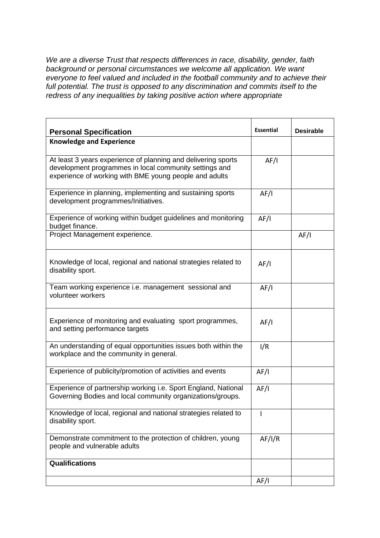*We are a diverse Trust that respects differences in race, disability, gender, faith background or personal circumstances we welcome all application. We want everyone to feel valued and included in the football community and to achieve their*  full potential. The trust is opposed to any discrimination and commits itself to the *redress of any inequalities by taking positive action where appropriate*

| <b>Personal Specification</b>                                                                                                                                                     | <b>Essential</b> | <b>Desirable</b> |
|-----------------------------------------------------------------------------------------------------------------------------------------------------------------------------------|------------------|------------------|
| <b>Knowledge and Experience</b>                                                                                                                                                   |                  |                  |
| At least 3 years experience of planning and delivering sports<br>development programmes in local community settings and<br>experience of working with BME young people and adults | AF/I             |                  |
| Experience in planning, implementing and sustaining sports<br>development programmes/Initiatives.                                                                                 | AF/I             |                  |
| Experience of working within budget guidelines and monitoring<br>budget finance.                                                                                                  | AF/I             |                  |
| Project Management experience.                                                                                                                                                    |                  | AF/I             |
| Knowledge of local, regional and national strategies related to<br>disability sport.                                                                                              | AF/I             |                  |
| Team working experience i.e. management sessional and<br>volunteer workers                                                                                                        | AF/I             |                  |
| Experience of monitoring and evaluating sport programmes,<br>and setting performance targets                                                                                      | AF/I             |                  |
| An understanding of equal opportunities issues both within the<br>workplace and the community in general.                                                                         | I/R              |                  |
| Experience of publicity/promotion of activities and events                                                                                                                        | AF/I             |                  |
| Experience of partnership working i.e. Sport England, National<br>Governing Bodies and local community organizations/groups.                                                      | AF/I             |                  |
| Knowledge of local, regional and national strategies related to<br>disability sport.                                                                                              | T                |                  |
| Demonstrate commitment to the protection of children, young<br>people and vulnerable adults                                                                                       | AF/I/R           |                  |
| <b>Qualifications</b>                                                                                                                                                             |                  |                  |
|                                                                                                                                                                                   | AF/I             |                  |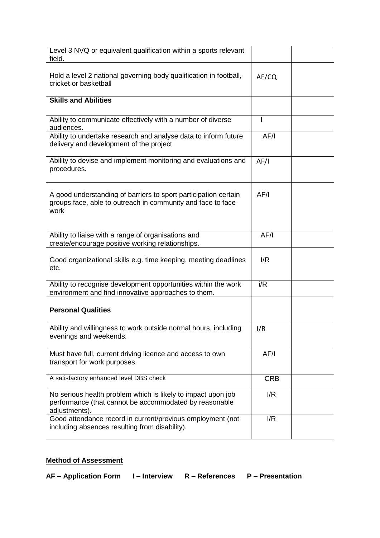| Level 3 NVQ or equivalent qualification within a sports relevant<br>field.                                                              |            |  |
|-----------------------------------------------------------------------------------------------------------------------------------------|------------|--|
| Hold a level 2 national governing body qualification in football,<br>cricket or basketball                                              | AF/CO      |  |
| <b>Skills and Abilities</b>                                                                                                             |            |  |
| Ability to communicate effectively with a number of diverse<br>audiences.                                                               |            |  |
| Ability to undertake research and analyse data to inform future<br>delivery and development of the project                              | AF/I       |  |
| Ability to devise and implement monitoring and evaluations and<br>procedures.                                                           | AF/I       |  |
| A good understanding of barriers to sport participation certain<br>groups face, able to outreach in community and face to face<br>work  | AF/I       |  |
| Ability to liaise with a range of organisations and<br>create/encourage positive working relationships.                                 | AF/I       |  |
| Good organizational skills e.g. time keeping, meeting deadlines<br>etc.                                                                 | I/R        |  |
| Ability to recognise development opportunities within the work<br>environment and find innovative approaches to them.                   | i/R        |  |
| <b>Personal Qualities</b>                                                                                                               |            |  |
| Ability and willingness to work outside normal hours, including<br>evenings and weekends.                                               | I/R        |  |
| Must have full, current driving licence and access to own<br>transport for work purposes.                                               | AF/I       |  |
| A satisfactory enhanced level DBS check                                                                                                 | <b>CRB</b> |  |
| No serious health problem which is likely to impact upon job<br>performance (that cannot be accommodated by reasonable<br>adjustments). | I/R        |  |
| Good attendance record in current/previous employment (not<br>including absences resulting from disability).                            | I/R        |  |

# **Method of Assessment**

**AF – Application Form I – Interview R – References P – Presentation**